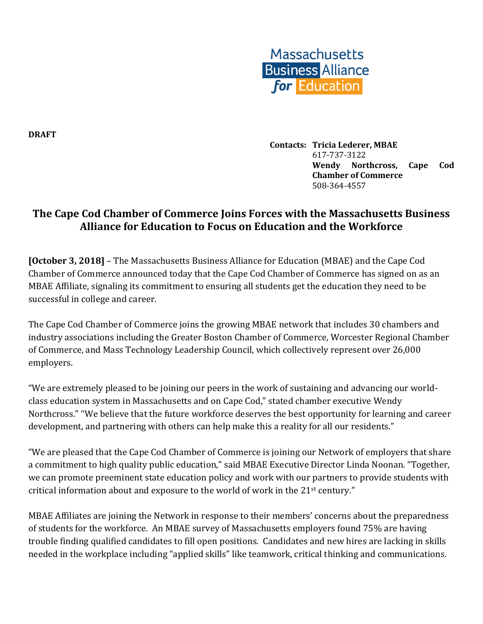

**DRAFT**

**Contacts: Tricia Lederer, MBAE** 617-737-3122 **Wendy Northcross, Cape Cod Chamber of Commerce** 508-364-4557

## **The Cape Cod Chamber of Commerce Joins Forces with the Massachusetts Business Alliance for Education to Focus on Education and the Workforce**

**[October 3, 2018]** – The Massachusetts Business Alliance for Education (MBAE) and the Cape Cod Chamber of Commerce announced today that the Cape Cod Chamber of Commerce has signed on as an MBAE Affiliate, signaling its commitment to ensuring all students get the education they need to be successful in college and career.

The Cape Cod Chamber of Commerce joins the growing MBAE network that includes 30 chambers and industry associations including the Greater Boston Chamber of Commerce, Worcester Regional Chamber of Commerce, and Mass Technology Leadership Council, which collectively represent over 26,000 employers.

"We are extremely pleased to be joining our peers in the work of sustaining and advancing our worldclass education system in Massachusetts and on Cape Cod," stated chamber executive Wendy Northcross." "We believe that the future workforce deserves the best opportunity for learning and career development, and partnering with others can help make this a reality for all our residents."

"We are pleased that the Cape Cod Chamber of Commerce is joining our Network of employers that share a commitment to high quality public education," said MBAE Executive Director Linda Noonan. "Together, we can promote preeminent state education policy and work with our partners to provide students with critical information about and exposure to the world of work in the 21st century."

MBAE Affiliates are joining the Network in response to their members' concerns about the preparedness of students for the workforce. An MBAE survey of Massachusetts employers found 75% are having trouble finding qualified candidates to fill open positions. Candidates and new hires are lacking in skills needed in the workplace including "applied skills" like teamwork, critical thinking and communications.